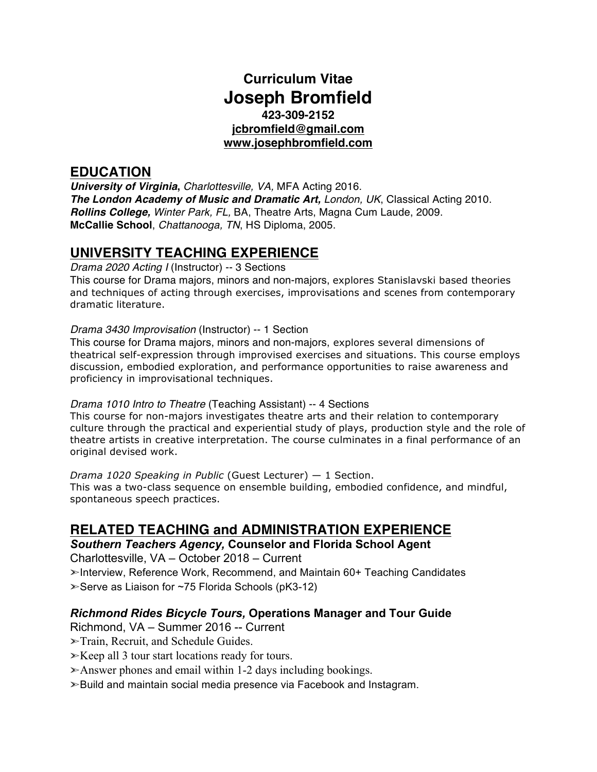## **Curriculum Vitae Joseph Bromfield 423-309-2152 jcbromfield@gmail.com www.josephbromfield.com**

## **EDUCATION**

*University of Virginia***,** *Charlottesville, VA,* MFA Acting 2016. *The London Academy of Music and Dramatic Art, London, UK*, Classical Acting 2010. *Rollins College, Winter Park, FL,* BA, Theatre Arts, Magna Cum Laude, 2009. **McCallie School**, *Chattanooga, TN*, HS Diploma, 2005.

# **UNIVERSITY TEACHING EXPERIENCE**

*Drama 2020 Acting I* (Instructor) -- 3 Sections

This course for Drama majors, minors and non-majors, explores Stanislavski based theories and techniques of acting through exercises, improvisations and scenes from contemporary dramatic literature.

#### *Drama 3430 Improvisation* (Instructor) -- 1 Section

This course for Drama majors, minors and non-majors, explores several dimensions of theatrical self-expression through improvised exercises and situations. This course employs discussion, embodied exploration, and performance opportunities to raise awareness and proficiency in improvisational techniques.

#### *Drama 1010 Intro to Theatre* (Teaching Assistant) -- 4 Sections

This course for non-majors investigates theatre arts and their relation to contemporary culture through the practical and experiential study of plays, production style and the role of theatre artists in creative interpretation. The course culminates in a final performance of an original devised work.

*Drama 1020 Speaking in Public* (Guest Lecturer) — 1 Section. This was a two-class sequence on ensemble building, embodied confidence, and mindful, spontaneous speech practices.

## **RELATED TEACHING and ADMINISTRATION EXPERIENCE**

*Southern Teachers Agency,* **Counselor and Florida School Agent** Charlottesville, VA – October 2018 – Current

➣Interview, Reference Work, Recommend, and Maintain 60+ Teaching Candidates ➣Serve as Liaison for ~75 Florida Schools (pK3-12)

#### *Richmond Rides Bicycle Tours,* **Operations Manager and Tour Guide**

Richmond, VA – Summer 2016 -- Current

- ➣Train, Recruit, and Schedule Guides.
- ➣Keep all 3 tour start locations ready for tours.
- $\triangleright$  Answer phones and email within 1-2 days including bookings.
- ➣Build and maintain social media presence via Facebook and Instagram.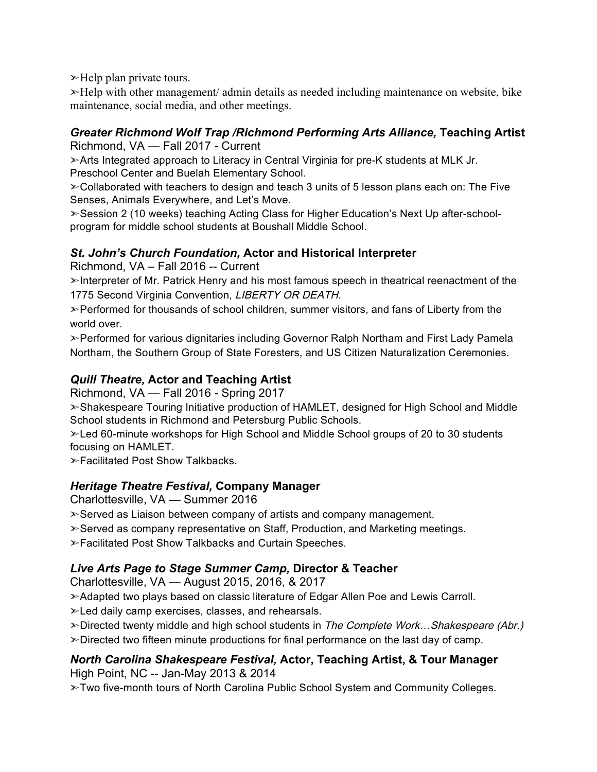$\blacktriangleright$ Help plan private tours.

➣Help with other management/ admin details as needed including maintenance on website, bike maintenance, social media, and other meetings.

# *Greater Richmond Wolf Trap /Richmond Performing Arts Alliance,* **Teaching Artist**

Richmond, VA — Fall 2017 - Current

➣Arts Integrated approach to Literacy in Central Virginia for pre-K students at MLK Jr. Preschool Center and Buelah Elementary School.

➣Collaborated with teachers to design and teach 3 units of 5 lesson plans each on: The Five Senses, Animals Everywhere, and Let's Move.

➣Session 2 (10 weeks) teaching Acting Class for Higher Education's Next Up after-schoolprogram for middle school students at Boushall Middle School.

## *St. John's Church Foundation,* **Actor and Historical Interpreter**

Richmond, VA – Fall 2016 -- Current

➣Interpreter of Mr. Patrick Henry and his most famous speech in theatrical reenactment of the 1775 Second Virginia Convention, LIBERTY OR DEATH.

➣Performed for thousands of school children, summer visitors, and fans of Liberty from the world over.

➣Performed for various dignitaries including Governor Ralph Northam and First Lady Pamela Northam, the Southern Group of State Foresters, and US Citizen Naturalization Ceremonies.

### *Quill Theatre,* **Actor and Teaching Artist**

Richmond, VA — Fall 2016 - Spring 2017

➣Shakespeare Touring Initiative production of HAMLET, designed for High School and Middle School students in Richmond and Petersburg Public Schools.

➣Led 60-minute workshops for High School and Middle School groups of 20 to 30 students focusing on HAMLET.

➣Facilitated Post Show Talkbacks.

## *Heritage Theatre Festival,* **Company Manager**

Charlottesville, VA — Summer 2016

➣Served as Liaison between company of artists and company management.

➣Served as company representative on Staff, Production, and Marketing meetings.

➣Facilitated Post Show Talkbacks and Curtain Speeches.

## *Live Arts Page to Stage Summer Camp,* **Director & Teacher**

Charlottesville, VA — August 2015, 2016, & 2017

➣Adapted two plays based on classic literature of Edgar Allen Poe and Lewis Carroll.

➣Led daily camp exercises, classes, and rehearsals.

 $\gg$  Directed twenty middle and high school students in The Complete Work... Shakespeare (Abr.)

➣Directed two fifteen minute productions for final performance on the last day of camp.

#### *North Carolina Shakespeare Festival,* **Actor, Teaching Artist, & Tour Manager** High Point, NC -- Jan-May 2013 & 2014

➣Two five-month tours of North Carolina Public School System and Community Colleges.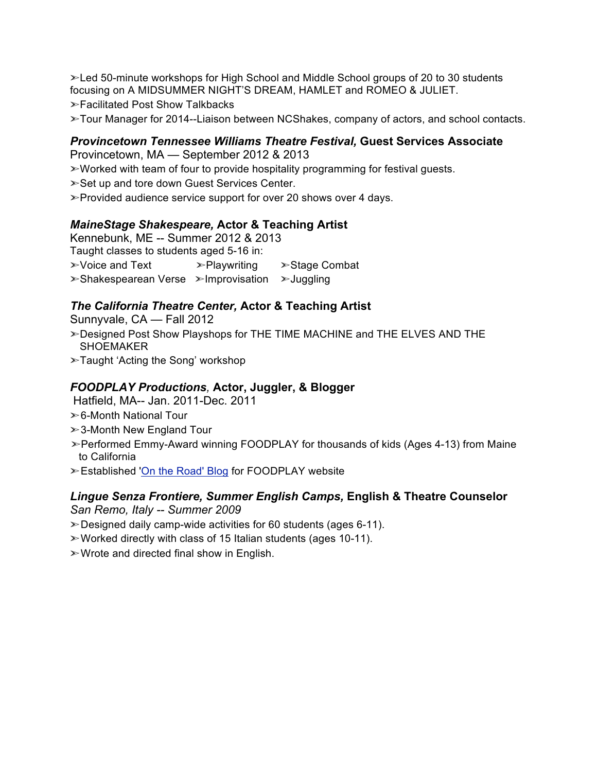➣Led 50-minute workshops for High School and Middle School groups of 20 to 30 students focusing on A MIDSUMMER NIGHT'S DREAM, HAMLET and ROMEO & JULIET. ➣Facilitated Post Show Talkbacks

➣Tour Manager for 2014--Liaison between NCShakes, company of actors, and school contacts.

#### *Provincetown Tennessee Williams Theatre Festival,* **Guest Services Associate** Provincetown, MA — September 2012 & 2013

➣Worked with team of four to provide hospitality programming for festival guests.

- ➣Set up and tore down Guest Services Center.
- ➣Provided audience service support for over 20 shows over 4 days.

#### *MaineStage Shakespeare,* **Actor & Teaching Artist**

Kennebunk, ME -- Summer 2012 & 2013 Taught classes to students aged 5-16 in: ➣Voice and Text ➣Playwriting ➣Stage Combat ➣Shakespearean Verse ➣Improvisation ➣Juggling

#### *The California Theatre Center,* **Actor & Teaching Artist**

Sunnyvale, CA — Fall 2012

- ➣Designed Post Show Playshops for THE TIME MACHINE and THE ELVES AND THE **SHOEMAKER**
- ➣Taught 'Acting the Song' workshop

#### *FOODPLAY Productions,* **Actor, Juggler, & Blogger**

Hatfield, MA-- Jan. 2011-Dec. 2011

- ➣6-Month National Tour
- ➣3-Month New England Tour
- ➣Performed Emmy-Award winning FOODPLAY for thousands of kids (Ages 4-13) from Maine to California
- ➣Established 'On the Road' Blog for FOODPLAY website

#### *Lingue Senza Frontiere, Summer English Camps,* **English & Theatre Counselor**

*San Remo, Italy -- Summer 2009*

- ➣Designed daily camp-wide activities for 60 students (ages 6-11).
- ➣Worked directly with class of 15 Italian students (ages 10-11).
- ➣Wrote and directed final show in English.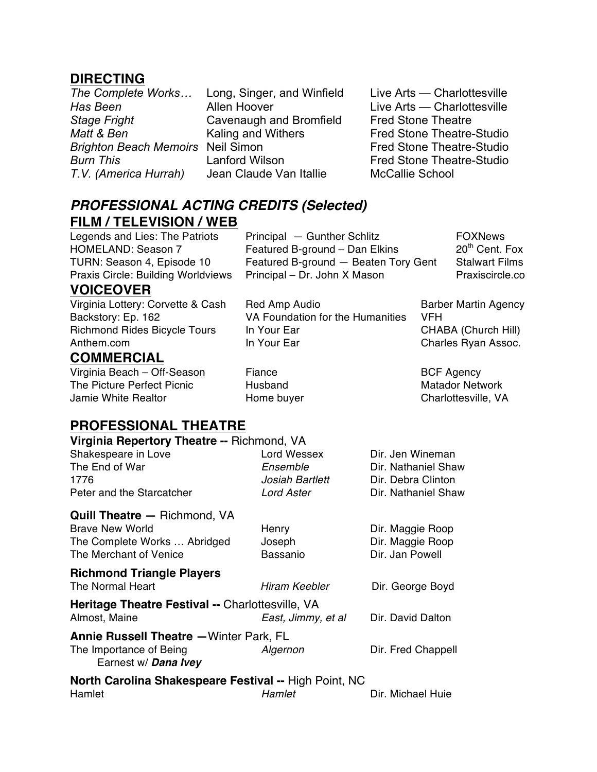## **DIRECTING**

*Stage Fright* Cavenaugh and Bromfield Fred Stone Theatre *T.V. (America Hurrah)* Jean Claude Van Itallie McCallie School

*The Complete Works…* Long, Singer, and Winfield Live Arts — Charlottesville **Has Been Allen Hoover Live Arts — Charlottesville** *Matt* & *Ben* **Kaling and Withers** Fred Stone Theatre-Studio **Brighton Beach Memoirs** Neil Simon Fred Stone Theatre-Studio **Burn This Example 2** Lanford Wilson **Fred Stone Theatre-Studio** 

# *PROFESSIONAL ACTING CREDITS (Selected)* **FILM / TELEVISION / WEB**<br>Legends and Lies: The Patriots Principal – Gunther Schlitz FOXNews

HOMELAND: Season 7 Featured B-ground – Dan Elkins 20<sup>th</sup> Cent. Fox TURN: Season 4, Episode 10 Featured B-ground - Beaten Tory Gent Stalwart Films Praxis Circle: Building Worldviews Principal – Dr. John X Mason Praxiscircle.co

### **VOICEOVER**

Virginia Lottery: Corvette & Cash Red Amp Audio Barber Martin Agency Backstory: Ep. 162 VA Foundation for the Humanities VFH Richmond Rides Bicycle Tours In Your Ear CHABA (Church Hill) Anthem.com **In Your Ear** In Your Ear Charles Ryan Assoc.

## **COMMERCIAL**

Virginia Beach – Off-Season Fiance **BCF Agency** BCF Agency The Picture Perfect Picnic **Husband** Matador Network Jamie White Realtor **Franch Home buyer** Charlottesville, VA

## **PROFESSIONAL THEATRE**

| Virginia Repertory Theatre -- Richmond, VA            |                    |                     |  |  |
|-------------------------------------------------------|--------------------|---------------------|--|--|
| Shakespeare in Love                                   | Lord Wessex        | Dir. Jen Wineman    |  |  |
| The End of War                                        | Ensemble           | Dir. Nathaniel Shaw |  |  |
| 1776                                                  | Josiah Bartlett    | Dir. Debra Clinton  |  |  |
| Peter and the Starcatcher                             | <b>Lord Aster</b>  | Dir. Nathaniel Shaw |  |  |
| <b>Quill Theatre - Richmond, VA</b>                   |                    |                     |  |  |
| <b>Brave New World</b>                                | Henry              | Dir. Maggie Roop    |  |  |
| The Complete Works  Abridged                          | Joseph             | Dir. Maggie Roop    |  |  |
| The Merchant of Venice                                | Bassanio           | Dir. Jan Powell     |  |  |
| <b>Richmond Triangle Players</b>                      |                    |                     |  |  |
| The Normal Heart                                      | Hiram Keebler      | Dir. George Boyd    |  |  |
| Heritage Theatre Festival -- Charlottesville, VA      |                    |                     |  |  |
| Almost, Maine                                         | East, Jimmy, et al | Dir. David Dalton   |  |  |
| <b>Annie Russell Theatre - Winter Park, FL</b>        |                    |                     |  |  |
| The Importance of Being<br>Earnest w/ Dana Ivey       | Algernon           | Dir. Fred Chappell  |  |  |
| North Carolina Shakespeare Festival -- High Point, NC |                    |                     |  |  |
| Hamlet                                                | Hamlet             | Dir. Michael Huie   |  |  |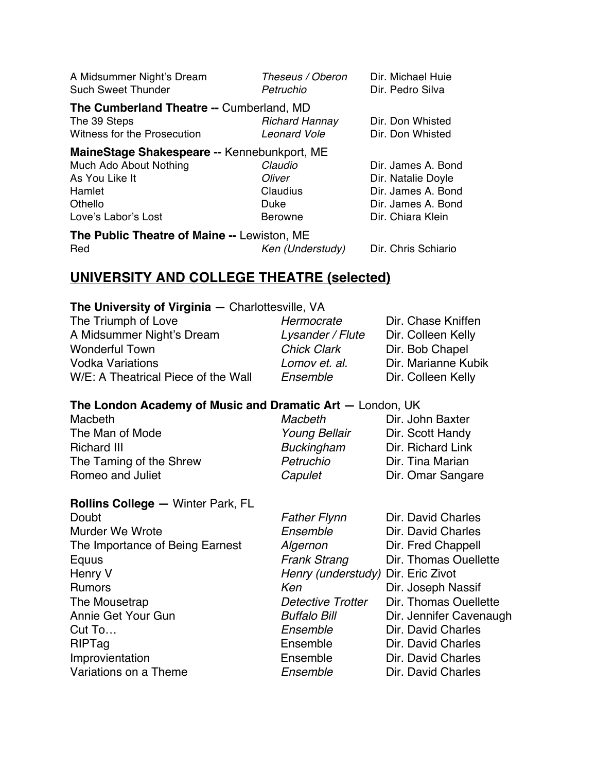| Theseus / Oberon<br>Petruchio                | Dir. Michael Huie<br>Dir. Pedro Silva                                                   |  |  |
|----------------------------------------------|-----------------------------------------------------------------------------------------|--|--|
| <b>Richard Hannay</b><br><b>Leonard Vole</b> | Dir. Don Whisted<br>Dir. Don Whisted                                                    |  |  |
|                                              |                                                                                         |  |  |
| Claudio                                      | Dir. James A. Bond                                                                      |  |  |
| Oliver                                       | Dir. Natalie Doyle                                                                      |  |  |
| Claudius                                     | Dir. James A. Bond                                                                      |  |  |
| Duke                                         | Dir. James A. Bond                                                                      |  |  |
| Berowne                                      | Dir. Chiara Klein                                                                       |  |  |
| The Public Theatre of Maine -- Lewiston, ME  |                                                                                         |  |  |
| Ken (Understudy)                             | Dir. Chris Schiario                                                                     |  |  |
|                                              | The Cumberland Theatre -- Cumberland, MD<br>MaineStage Shakespeare -- Kennebunkport, ME |  |  |

# **UNIVERSITY AND COLLEGE THEATRE (selected)**

#### **The University of Virginia —** Charlottesville, VA

| Hermocrate         | Dir. Chase Kniffen  |
|--------------------|---------------------|
| Lysander / Flute   | Dir. Colleen Kelly  |
| <b>Chick Clark</b> | Dir. Bob Chapel     |
| Lomov et. al.      | Dir. Marianne Kubik |
| Ensemble           | Dir. Colleen Kelly  |
|                    |                     |

#### **The London Academy of Music and Dramatic Art —** London, UK

| Macbeth                 | Macbeth              | Dir. John Baxter  |
|-------------------------|----------------------|-------------------|
| The Man of Mode         | <b>Young Bellair</b> | Dir. Scott Handy  |
| <b>Richard III</b>      | <b>Buckingham</b>    | Dir. Richard Link |
| The Taming of the Shrew | Petruchio            | Dir. Tina Marian  |
| Romeo and Juliet        | Capulet              | Dir. Omar Sangare |
|                         |                      |                   |

| <b>Rollins College - Winter Park, FL</b> |                                    |                         |
|------------------------------------------|------------------------------------|-------------------------|
| Doubt                                    | <b>Father Flynn</b>                | Dir. David Charles      |
| <b>Murder We Wrote</b>                   | Ensemble                           | Dir. David Charles      |
| The Importance of Being Earnest          | Algernon                           | Dir. Fred Chappell      |
| Equus                                    | <b>Frank Strang</b>                | Dir. Thomas Ouellette   |
| Henry V                                  | Henry (understudy) Dir. Eric Zivot |                         |
| <b>Rumors</b>                            | Ken                                | Dir. Joseph Nassif      |
| The Mousetrap                            | Detective Trotter                  | Dir. Thomas Ouellette   |
| Annie Get Your Gun                       | <b>Buffalo Bill</b>                | Dir. Jennifer Cavenaugh |
| Cut To                                   | Ensemble                           | Dir. David Charles      |
| <b>RIPTag</b>                            | Ensemble                           | Dir. David Charles      |
| Improvientation                          | Ensemble                           | Dir. David Charles      |
| Variations on a Theme                    | Ensemble                           | Dir. David Charles      |